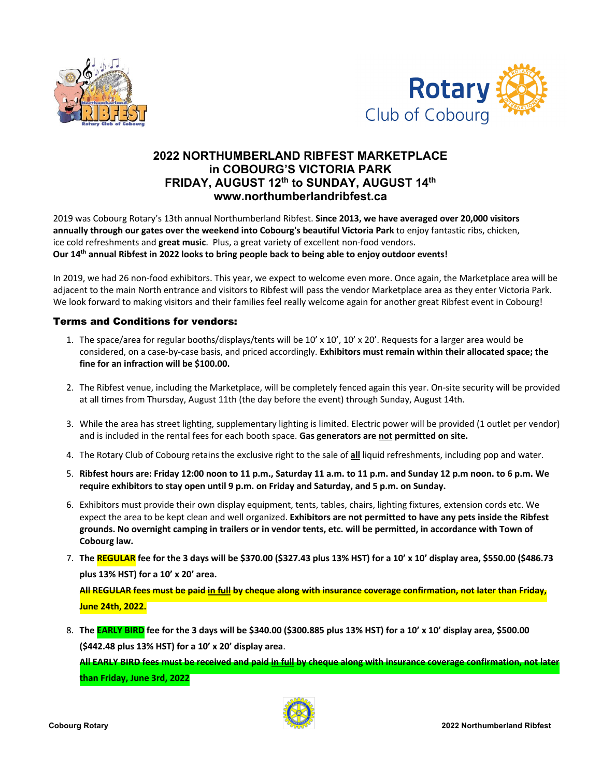



## **2022 NORTHUMBERLAND RIBFEST MARKETPLACE in COBOURG'S VICTORIA PARK FRIDAY, AUGUST 12th to SUNDAY, AUGUST 14th www.northumberlandribfest.ca**

2019 was Cobourg Rotary's 13th annual Northumberland Ribfest. **Since 2013, we have averaged over 20,000 visitors annually through our gates over the weekend into Cobourg's beautiful Victoria Park** to enjoy fantastic ribs, chicken, ice cold refreshments and **great music**. Plus, a great variety of excellent non-food vendors. **Our 14th annual Ribfest in 2022 looks to bring people back to being able to enjoy outdoor events!** 

In 2019, we had 26 non-food exhibitors. This year, we expect to welcome even more. Once again, the Marketplace area will be adjacent to the main North entrance and visitors to Ribfest will pass the vendor Marketplace area as they enter Victoria Park. We look forward to making visitors and their families feel really welcome again for another great Ribfest event in Cobourg!

## Terms and Conditions for vendors:

- 1. The space/area for regular booths/displays/tents will be  $10' \times 10'$ ,  $10' \times 20'$ . Requests for a larger area would be considered, on a case-by-case basis, and priced accordingly. **Exhibitors must remain within their allocated space; the fine for an infraction will be \$100.00.**
- 2. The Ribfest venue, including the Marketplace, will be completely fenced again this year. On-site security will be provided at all times from Thursday, August 11th (the day before the event) through Sunday, August 14th.
- 3. While the area has street lighting, supplementary lighting is limited. Electric power will be provided (1 outlet per vendor) and is included in the rental fees for each booth space. **Gas generators are not permitted on site.**
- 4. The Rotary Club of Cobourg retains the exclusive right to the sale of **all** liquid refreshments, including pop and water.
- 5. Ribfest hours are: Friday 12:00 noon to 11 p.m., Saturday 11 a.m. to 11 p.m. and Sunday 12 p.m noon. to 6 p.m. We **require exhibitors to stay open until 9 p.m. on Friday and Saturday, and 5 p.m. on Sunday.**
- 6. Exhibitors must provide their own display equipment, tents, tables, chairs, lighting fixtures, extension cords etc. We expect the area to be kept clean and well organized. **Exhibitors are not permitted to have any pets inside the Ribfest grounds. No overnight camping in trailers or in vendor tents, etc. will be permitted, in accordance with Town of Cobourg law.**
- 7. **The REGULAR fee for the 3 days will be \$370.00 (\$327.43 plus 13% HST) for a 10' x 10' display area, \$550.00 (\$486.73 plus 13% HST) for a 10' x 20' area.**

**All REGULAR fees must be paid in full by cheque along with insurance coverage confirmation, not later than Friday, June 24th, 2022.**

8. **The EARLY BIRD fee for the 3 days will be \$340.00 (\$300.885 plus 13% HST) for a 10' x 10' display area, \$500.00 (\$442.48 plus 13% HST) for a 10' x 20' display area**.

**All EARLY BIRD fees must be received and paid in full by cheque along with insurance coverage confirmation, not later than Friday, June 3rd, 2022**

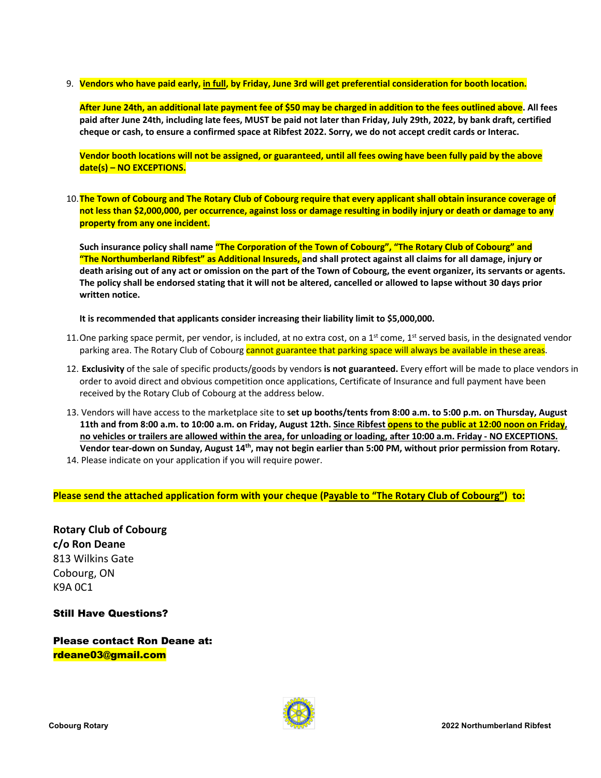9. **Vendors who have paid early, in full, by Friday, June 3rd will get preferential consideration for booth location.**

**After June 24th, an additional late payment fee of \$50 may be charged in addition to the fees outlined above. All fees paid after June 24th, including late fees, MUST be paid not later than Friday, July 29th, 2022, by bank draft, certified cheque or cash, to ensure a confirmed space at Ribfest 2022. Sorry, we do not accept credit cards or Interac.**

**Vendor booth locations will not be assigned, or guaranteed, until all fees owing have been fully paid by the above date(s) – NO EXCEPTIONS.**

10.**The Town of Cobourg and The Rotary Club of Cobourg require that every applicant shall obtain insurance coverage of not less than \$2,000,000, per occurrence, against loss or damage resulting in bodily injury or death or damage to any property from any one incident.**

**Such insurance policy shall name "The Corporation of the Town of Cobourg", "The Rotary Club of Cobourg" and "The Northumberland Ribfest" as Additional Insureds, and shall protect against all claims for all damage, injury or death arising out of any act or omission on the part of the Town of Cobourg, the event organizer, its servants or agents. The policy shall be endorsed stating that it will not be altered, cancelled or allowed to lapse without 30 days prior written notice.**

**It is recommended that applicants consider increasing their liability limit to \$5,000,000.**

- 11. One parking space permit, per vendor, is included, at no extra cost, on a  $1<sup>st</sup>$  come,  $1<sup>st</sup>$  served basis, in the designated vendor parking area. The Rotary Club of Cobourg cannot guarantee that parking space will always be available in these areas.
- 12. **Exclusivity** of the sale of specific products/goods by vendors **is not guaranteed.** Every effort will be made to place vendors in order to avoid direct and obvious competition once applications, Certificate of Insurance and full payment have been received by the Rotary Club of Cobourg at the address below.
- 13. Vendors will have access to the marketplace site to **set up booths/tents from 8:00 a.m. to 5:00 p.m. on Thursday, August 11th and from 8:00 a.m. to 10:00 a.m. on Friday, August 12th. Since Ribfest opens to the public at 12:00 noon on Friday, no vehicles or trailers are allowed within the area, for unloading or loading, after 10:00 a.m. Friday - NO EXCEPTIONS. Vendor tear-down on Sunday, August 14th, may not begin earlier than 5:00 PM, without prior permission from Rotary.** 14. Please indicate on your application if you will require power.
- 

**Please send the attached application form with your cheque (Payable to "The Rotary Club of Cobourg") to:**

**Rotary Club of Cobourg c/o Ron Deane**  813 Wilkins Gate Cobourg, ON K9A 0C1

Still Have Questions?

Please contact Ron Deane at: rdeane03@gmail.com

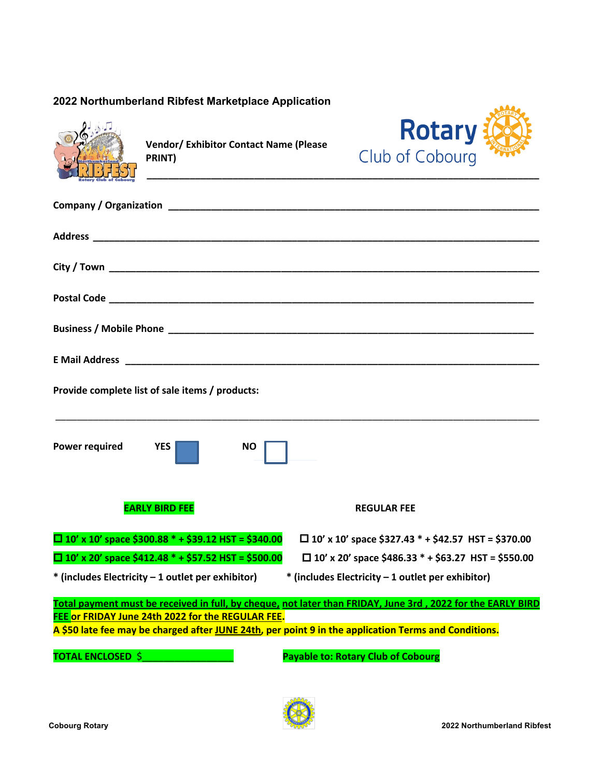## **2022 Northumberland Ribfest Marketplace Application**



**Vendor/ Exhibitor Contact Name (Please PRINT)**



| Provide complete list of sale items / products:            |                                                                                                             |
|------------------------------------------------------------|-------------------------------------------------------------------------------------------------------------|
| <b>Power required</b><br><b>YES</b><br><b>NO</b>           |                                                                                                             |
| <b>EARLY BIRD FEE</b>                                      | <b>REGULAR FEE</b>                                                                                          |
| $\Box$ 10' x 10' space \$300.88 * + \$39.12 HST = \$340.00 | $\Box$ 10' x 10' space \$327.43 * + \$42.57 HST = \$370.00                                                  |
| $\Box$ 10' x 20' space \$412.48 * + \$57.52 HST = \$500.00 | $\Box$ 10' x 20' space \$486.33 * + \$63.27 HST = \$550.00                                                  |
| * (includes Electricity - 1 outlet per exhibitor)          | * (includes Electricity - 1 outlet per exhibitor)                                                           |
|                                                            | Total payment must be received in full, by cheque, not later than FRIDAY, June 3rd, 2022 for the EARLY BIRD |
| FEE or FRIDAY June 24th 2022 for the REGULAR FEE.          | A \$50 late fee may be charged after JUNE 24th, per point 9 in the application Terms and Conditions.        |
|                                                            |                                                                                                             |
| <b>TOTAL ENCLOSED \$</b>                                   | <b>Payable to: Rotary Club of Cobourg</b>                                                                   |